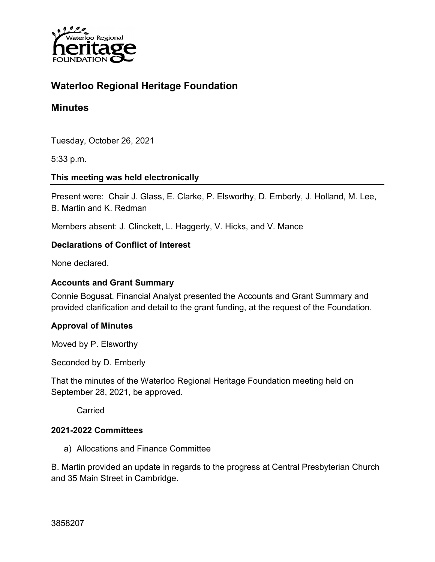

# **Waterloo Regional Heritage Foundation**

## **Minutes**

Tuesday, October 26, 2021

5:33 p.m.

### **This meeting was held electronically**

Present were: Chair J. Glass, E. Clarke, P. Elsworthy, D. Emberly, J. Holland, M. Lee, B. Martin and K. Redman

Members absent: J. Clinckett, L. Haggerty, V. Hicks, and V. Mance

### **Declarations of Conflict of Interest**

None declared.

#### **Accounts and Grant Summary**

Connie Bogusat, Financial Analyst presented the Accounts and Grant Summary and provided clarification and detail to the grant funding, at the request of the Foundation.

### **Approval of Minutes**

Moved by P. Elsworthy

Seconded by D. Emberly

That the minutes of the Waterloo Regional Heritage Foundation meeting held on September 28, 2021, be approved.

**Carried** 

#### **2021-2022 Committees**

a) Allocations and Finance Committee

B. Martin provided an update in regards to the progress at Central Presbyterian Church and 35 Main Street in Cambridge.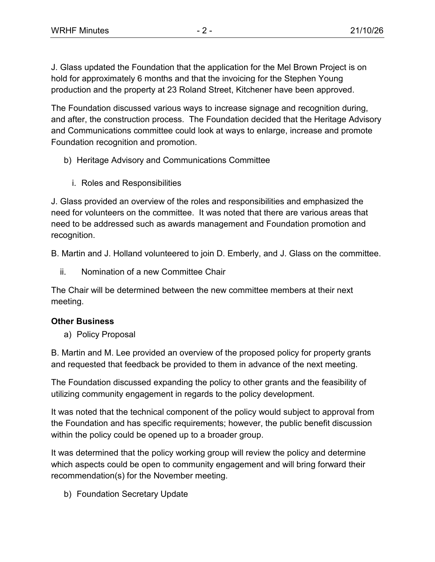J. Glass updated the Foundation that the application for the Mel Brown Project is on hold for approximately 6 months and that the invoicing for the Stephen Young production and the property at 23 Roland Street, Kitchener have been approved.

The Foundation discussed various ways to increase signage and recognition during, and after, the construction process. The Foundation decided that the Heritage Advisory and Communications committee could look at ways to enlarge, increase and promote Foundation recognition and promotion.

- b) Heritage Advisory and Communications Committee
	- i. Roles and Responsibilities

J. Glass provided an overview of the roles and responsibilities and emphasized the need for volunteers on the committee. It was noted that there are various areas that need to be addressed such as awards management and Foundation promotion and recognition.

B. Martin and J. Holland volunteered to join D. Emberly, and J. Glass on the committee.

ii. Nomination of a new Committee Chair

The Chair will be determined between the new committee members at their next meeting.

### **Other Business**

a) Policy Proposal

B. Martin and M. Lee provided an overview of the proposed policy for property grants and requested that feedback be provided to them in advance of the next meeting.

The Foundation discussed expanding the policy to other grants and the feasibility of utilizing community engagement in regards to the policy development.

It was noted that the technical component of the policy would subject to approval from the Foundation and has specific requirements; however, the public benefit discussion within the policy could be opened up to a broader group.

It was determined that the policy working group will review the policy and determine which aspects could be open to community engagement and will bring forward their recommendation(s) for the November meeting.

b) Foundation Secretary Update